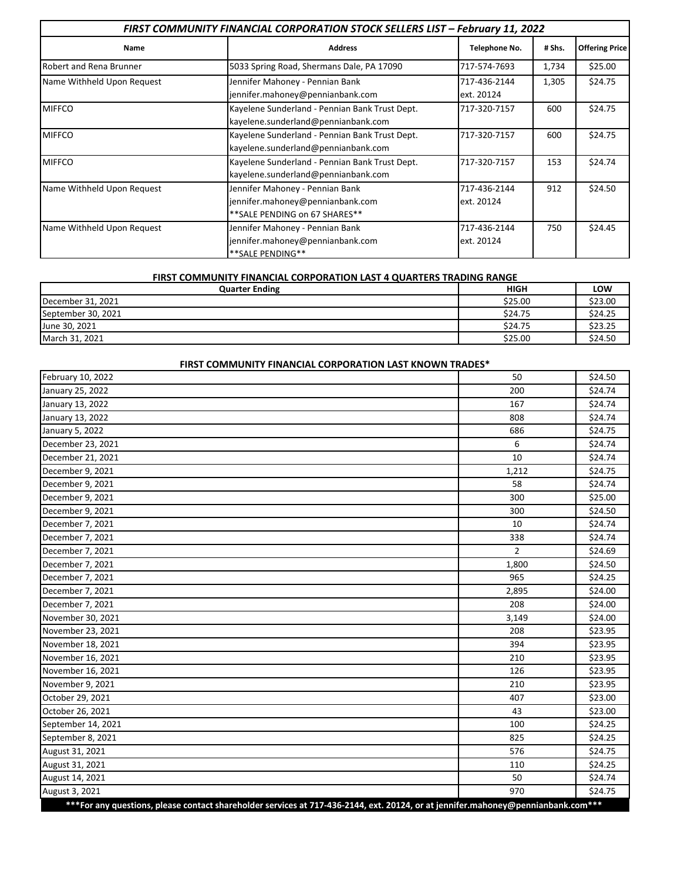| FIRST COMMUNITY FINANCIAL CORPORATION STOCK SELLERS LIST - February 11, 2022 |                                                                                                       |                            |        |                       |  |
|------------------------------------------------------------------------------|-------------------------------------------------------------------------------------------------------|----------------------------|--------|-----------------------|--|
| Name                                                                         | <b>Address</b>                                                                                        | Telephone No.              | # Shs. | <b>Offering Price</b> |  |
| <b>Robert and Rena Brunner</b>                                               | 5033 Spring Road, Shermans Dale, PA 17090                                                             | 717-574-7693               | 1,734  | \$25.00               |  |
| Name Withheld Upon Request                                                   | Jennifer Mahoney - Pennian Bank<br>jennifer.mahoney@pennianbank.com                                   | 717-436-2144<br>ext. 20124 | 1,305  | \$24.75               |  |
| <b>MIFFCO</b>                                                                | Kayelene Sunderland - Pennian Bank Trust Dept.<br>kayelene.sunderland@pennianbank.com                 | 717-320-7157               | 600    | \$24.75               |  |
| <b>MIFFCO</b>                                                                | Kayelene Sunderland - Pennian Bank Trust Dept.<br>kayelene.sunderland@pennianbank.com                 | 717-320-7157               | 600    | \$24.75               |  |
| <b>MIFFCO</b>                                                                | Kayelene Sunderland - Pennian Bank Trust Dept.<br>kayelene.sunderland@pennianbank.com                 | 717-320-7157               | 153    | \$24.74               |  |
| Name Withheld Upon Request                                                   | Jennifer Mahoney - Pennian Bank<br>jennifer.mahoney@pennianbank.com<br>** SALE PENDING on 67 SHARES** | 717-436-2144<br>ext. 20124 | 912    | \$24.50               |  |
| Name Withheld Upon Request                                                   | Jennifer Mahoney - Pennian Bank<br>jennifer.mahoney@pennianbank.com<br>** SALE PENDING**              | 717-436-2144<br>ext. 20124 | 750    | \$24.45               |  |

## **FIRST COMMUNITY FINANCIAL CORPORATION LAST 4 QUARTERS TRADING RANGE**

| <b>Quarter Ending</b> | <b>HIGH</b> | LOW     |
|-----------------------|-------------|---------|
| December 31, 2021     | \$25.00     | \$23.00 |
| September 30, 2021    | \$24.75     | \$24.25 |
| June 30, 2021         | \$24.75     | \$23.25 |
| March 31, 2021        | \$25.00     | \$24.50 |

| FIRST COMMUNITY FINANCIAL CORPORATION LAST KNOWN TRADES*                                                                         |                |         |
|----------------------------------------------------------------------------------------------------------------------------------|----------------|---------|
| February 10, 2022                                                                                                                | 50             | \$24.50 |
| January 25, 2022                                                                                                                 | 200            | \$24.74 |
| January 13, 2022                                                                                                                 | 167            | \$24.74 |
| January 13, 2022                                                                                                                 | 808            | \$24.74 |
| January 5, 2022                                                                                                                  | 686            | \$24.75 |
| December 23, 2021                                                                                                                | 6              | \$24.74 |
| December 21, 2021                                                                                                                | 10             | \$24.74 |
| December 9, 2021                                                                                                                 | 1,212          | \$24.75 |
| December 9, 2021                                                                                                                 | 58             | \$24.74 |
| December 9, 2021                                                                                                                 | 300            | \$25.00 |
| December 9, 2021                                                                                                                 | 300            | \$24.50 |
| December 7, 2021                                                                                                                 | 10             | \$24.74 |
| December 7, 2021                                                                                                                 | 338            | \$24.74 |
| December 7, 2021                                                                                                                 | $\overline{2}$ | \$24.69 |
| December 7, 2021                                                                                                                 | 1,800          | \$24.50 |
| December 7, 2021                                                                                                                 | 965            | \$24.25 |
| December 7, 2021                                                                                                                 | 2,895          | \$24.00 |
| December 7, 2021                                                                                                                 | 208            | \$24.00 |
| November 30, 2021                                                                                                                | 3,149          | \$24.00 |
| November 23, 2021                                                                                                                | 208            | \$23.95 |
| November 18, 2021                                                                                                                | 394            | \$23.95 |
| November 16, 2021                                                                                                                | 210            | \$23.95 |
| November 16, 2021                                                                                                                | 126            | \$23.95 |
| November 9, 2021                                                                                                                 | 210            | \$23.95 |
| October 29, 2021                                                                                                                 | 407            | \$23.00 |
| October 26, 2021                                                                                                                 | 43             | \$23.00 |
| September 14, 2021                                                                                                               | 100            | \$24.25 |
| September 8, 2021                                                                                                                | 825            | \$24.25 |
| August 31, 2021                                                                                                                  | 576            | \$24.75 |
| August 31, 2021                                                                                                                  | 110            | \$24.25 |
| August 14, 2021                                                                                                                  | 50             | \$24.74 |
| August 3, 2021                                                                                                                   | 970            | \$24.75 |
| ***For any questions, please contact shareholder services at 717-436-2144, ext. 20124, or at jennifer.mahoney@pennianbank.com*** |                |         |